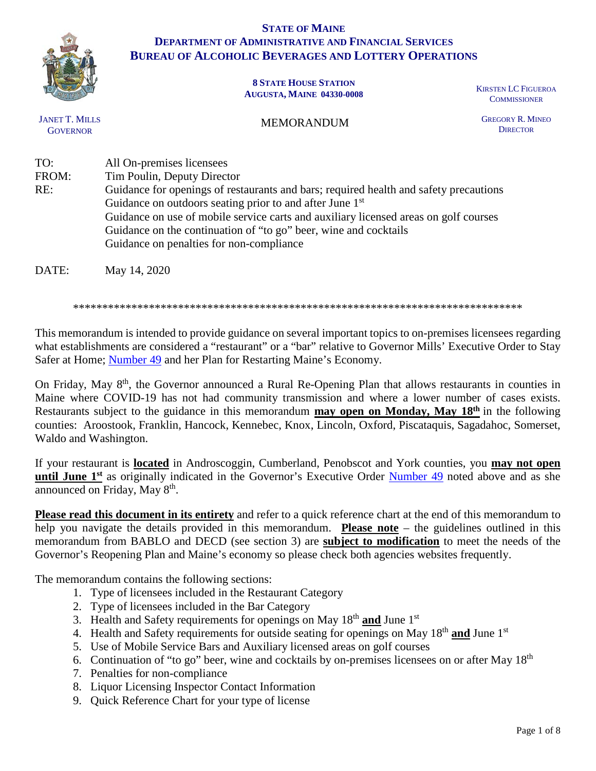

### **STATE OF MAINE DEPARTMENT OF ADMINISTRATIVE AND FINANCIAL SERVICES BUREAU OF ALCOHOLIC BEVERAGES AND LOTTERY OPERATIONS**

#### **8 STATE HOUSE STATION AUGUSTA, MAINE 04330-0008** KIRSTEN LC FIGUEROA

**COMMISSIONER** 

JANET T. MILLS **GOVERNOR** 

MEMORANDUM

GREGORY R. MINEO **DIRECTOR** 

TO: All On-premises licensees FROM: Tim Poulin, Deputy Director RE: Guidance for openings of restaurants and bars; required health and safety precautions Guidance on outdoors seating prior to and after June 1st Guidance on use of mobile service carts and auxiliary licensed areas on golf courses Guidance on the continuation of "to go" beer, wine and cocktails Guidance on penalties for non-compliance

DATE: May 14, 2020

\*\*\*\*\*\*\*\*\*\*\*\*\*\*\*\*\*\*\*\*\*\*\*\*\*\*\*\*\*\*\*\*\*\*\*\*\*\*\*\*\*\*\*\*\*\*\*\*\*\*\*\*\*\*\*\*\*\*\*\*\*\*\*\*\*\*\*\*\*\*\*\*\*\*\*\*\*

This memorandum is intended to provide guidance on several important topics to on-premises licensees regarding what establishments are considered a "restaurant" or a "bar" relative to Governor Mills' Executive Order to Stay Safer at Home; [Number 49](https://www.maine.gov/governor/mills/sites/maine.gov.governor.mills/files/inline-files/An%20Order%20to%20Stay%20Safer%20at%20Home.pdf) and her Plan for Restarting Maine's Economy.

On Friday, May 8<sup>th</sup>, the Governor announced a Rural Re-Opening Plan that allows restaurants in counties in Maine where COVID-19 has not had community transmission and where a lower number of cases exists. Restaurants subject to the guidance in this memorandum **may open on Monday, May 18th** in the following counties: Aroostook, Franklin, Hancock, Kennebec, Knox, Lincoln, Oxford, Piscataquis, Sagadahoc, Somerset, Waldo and Washington.

If your restaurant is **located** in Androscoggin, Cumberland, Penobscot and York counties, you **may not open until June 1<sup>st</sup>** as originally indicated in the Governor's Executive Order [Number 49](https://www.maine.gov/governor/mills/sites/maine.gov.governor.mills/files/inline-files/An%20Order%20to%20Stay%20Safer%20at%20Home.pdf) noted above and as she announced on Friday, May 8th.

**Please read this document in its entirety** and refer to a quick reference chart at the end of this memorandum to help you navigate the details provided in this memorandum. **Please note** – the guidelines outlined in this memorandum from BABLO and DECD (see section 3) are **subject to modification** to meet the needs of the Governor's Reopening Plan and Maine's economy so please check both agencies websites frequently.

The memorandum contains the following sections:

- 1. Type of licensees included in the Restaurant Category
- 2. Type of licensees included in the Bar Category
- 3. Health and Safety requirements for openings on May 18th **and** June 1st
- 4. Health and Safety requirements for outside seating for openings on May 18<sup>th</sup> and June 1<sup>st</sup>
- 5. Use of Mobile Service Bars and Auxiliary licensed areas on golf courses
- 6. Continuation of "to go" beer, wine and cocktails by on-premises licensees on or after May  $18<sup>th</sup>$
- 7. Penalties for non-compliance
- 8. Liquor Licensing Inspector Contact Information
- 9. Quick Reference Chart for your type of license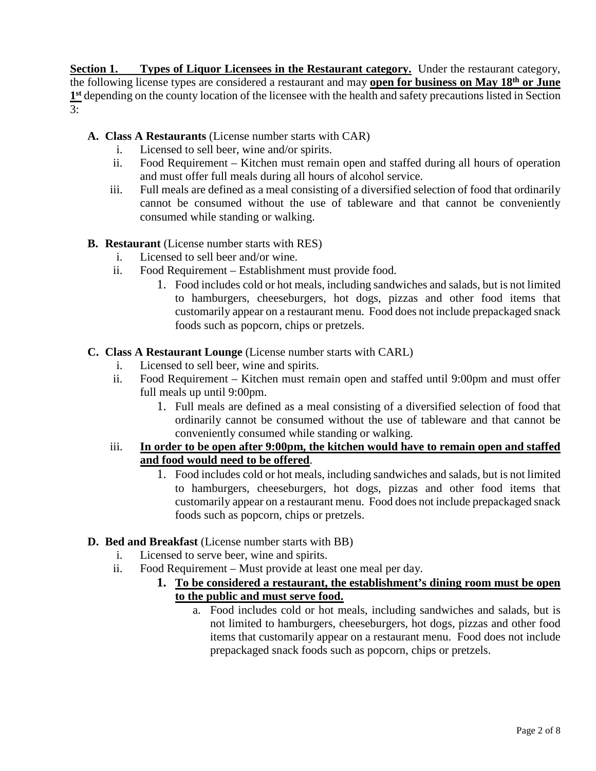**Section 1. Types of Liquor Licensees in the Restaurant category.** Under the restaurant category, the following license types are considered a restaurant and may **open for business on May 18th or June 1st** depending on the county location of the licensee with the health and safety precautions listed in Section 3:

- **A. Class A Restaurants** (License number starts with CAR)
	- i. Licensed to sell beer, wine and/or spirits.
	- ii. Food Requirement Kitchen must remain open and staffed during all hours of operation and must offer full meals during all hours of alcohol service.
	- iii. Full meals are defined as a meal consisting of a diversified selection of food that ordinarily cannot be consumed without the use of tableware and that cannot be conveniently consumed while standing or walking.
- **B. Restaurant** (License number starts with RES)
	- i. Licensed to sell beer and/or wine.
	- ii. Food Requirement Establishment must provide food.
		- 1. Food includes cold or hot meals, including sandwiches and salads, but is not limited to hamburgers, cheeseburgers, hot dogs, pizzas and other food items that customarily appear on a restaurant menu. Food does not include prepackaged snack foods such as popcorn, chips or pretzels.
- **C. Class A Restaurant Lounge** (License number starts with CARL)
	- i. Licensed to sell beer, wine and spirits.
	- ii. Food Requirement Kitchen must remain open and staffed until 9:00pm and must offer full meals up until 9:00pm.
		- 1. Full meals are defined as a meal consisting of a diversified selection of food that ordinarily cannot be consumed without the use of tableware and that cannot be conveniently consumed while standing or walking.
	- iii. **In order to be open after 9:00pm, the kitchen would have to remain open and staffed and food would need to be offered**.
		- 1. Food includes cold or hot meals, including sandwiches and salads, but is not limited to hamburgers, cheeseburgers, hot dogs, pizzas and other food items that customarily appear on a restaurant menu. Food does not include prepackaged snack foods such as popcorn, chips or pretzels.
- **D. Bed and Breakfast** (License number starts with BB)
	- i. Licensed to serve beer, wine and spirits.
	- ii. Food Requirement Must provide at least one meal per day.
		- **1. To be considered a restaurant, the establishment's dining room must be open to the public and must serve food.**
			- a. Food includes cold or hot meals, including sandwiches and salads, but is not limited to hamburgers, cheeseburgers, hot dogs, pizzas and other food items that customarily appear on a restaurant menu. Food does not include prepackaged snack foods such as popcorn, chips or pretzels.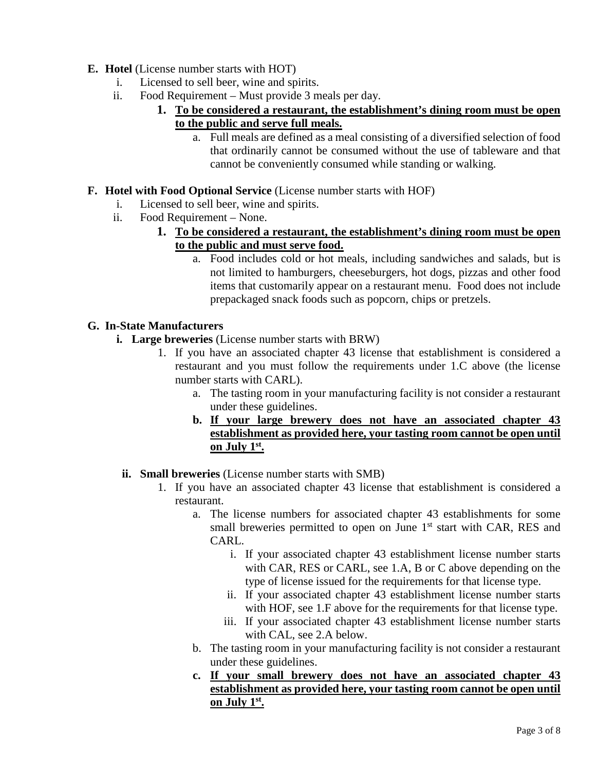# **E. Hotel** (License number starts with HOT)

- i. Licensed to sell beer, wine and spirits.
- ii. Food Requirement Must provide 3 meals per day.
	- **1. To be considered a restaurant, the establishment's dining room must be open to the public and serve full meals.**
		- a. Full meals are defined as a meal consisting of a diversified selection of food that ordinarily cannot be consumed without the use of tableware and that cannot be conveniently consumed while standing or walking.

# **F. Hotel with Food Optional Service** (License number starts with HOF)

- i. Licensed to sell beer, wine and spirits.
- ii. Food Requirement None.
	- **1. To be considered a restaurant, the establishment's dining room must be open to the public and must serve food.**
		- a. Food includes cold or hot meals, including sandwiches and salads, but is not limited to hamburgers, cheeseburgers, hot dogs, pizzas and other food items that customarily appear on a restaurant menu. Food does not include prepackaged snack foods such as popcorn, chips or pretzels.

# **G. In-State Manufacturers**

- **i. Large breweries** (License number starts with BRW)
	- 1. If you have an associated chapter 43 license that establishment is considered a restaurant and you must follow the requirements under 1.C above (the license number starts with CARL).
		- a. The tasting room in your manufacturing facility is not consider a restaurant under these guidelines.
		- **b. If your large brewery does not have an associated chapter 43 establishment as provided here, your tasting room cannot be open until on July 1st.**
	- **ii. Small breweries** (License number starts with SMB)
		- 1. If you have an associated chapter 43 license that establishment is considered a restaurant.
			- a. The license numbers for associated chapter 43 establishments for some small breweries permitted to open on June 1<sup>st</sup> start with CAR, RES and CARL.
				- i. If your associated chapter 43 establishment license number starts with CAR, RES or CARL, see 1.A, B or C above depending on the type of license issued for the requirements for that license type.
				- ii. If your associated chapter 43 establishment license number starts with HOF, see 1.F above for the requirements for that license type.
				- iii. If your associated chapter 43 establishment license number starts with CAL, see 2.A below.
			- b. The tasting room in your manufacturing facility is not consider a restaurant under these guidelines.
			- **c. If your small brewery does not have an associated chapter 43 establishment as provided here, your tasting room cannot be open until on July 1st.**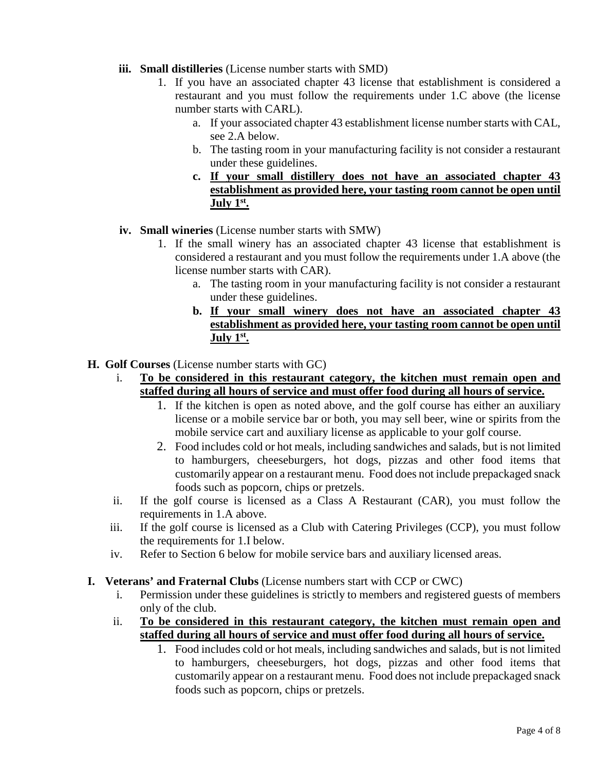- **iii. Small distilleries** (License number starts with SMD)
	- 1. If you have an associated chapter 43 license that establishment is considered a restaurant and you must follow the requirements under 1.C above (the license number starts with CARL).
		- a. If your associated chapter 43 establishment license number starts with CAL, see 2.A below.
		- b. The tasting room in your manufacturing facility is not consider a restaurant under these guidelines.
		- **c. If your small distillery does not have an associated chapter 43 establishment as provided here, your tasting room cannot be open until July 1st.**

### **iv. Small wineries** (License number starts with SMW)

- 1. If the small winery has an associated chapter 43 license that establishment is considered a restaurant and you must follow the requirements under 1.A above (the license number starts with CAR).
	- a. The tasting room in your manufacturing facility is not consider a restaurant under these guidelines.
	- **b. If your small winery does not have an associated chapter 43 establishment as provided here, your tasting room cannot be open until July 1st.**

### **H. Golf Courses** (License number starts with GC)

- i. **To be considered in this restaurant category, the kitchen must remain open and staffed during all hours of service and must offer food during all hours of service.**
	- 1. If the kitchen is open as noted above, and the golf course has either an auxiliary license or a mobile service bar or both, you may sell beer, wine or spirits from the mobile service cart and auxiliary license as applicable to your golf course.
	- 2. Food includes cold or hot meals, including sandwiches and salads, but is not limited to hamburgers, cheeseburgers, hot dogs, pizzas and other food items that customarily appear on a restaurant menu. Food does not include prepackaged snack foods such as popcorn, chips or pretzels.
- ii. If the golf course is licensed as a Class A Restaurant (CAR), you must follow the requirements in 1.A above.
- iii. If the golf course is licensed as a Club with Catering Privileges (CCP), you must follow the requirements for 1.I below.
- iv. Refer to Section 6 below for mobile service bars and auxiliary licensed areas.
- **I. Veterans' and Fraternal Clubs** (License numbers start with CCP or CWC)
	- i. Permission under these guidelines is strictly to members and registered guests of members only of the club.
	- ii. **To be considered in this restaurant category, the kitchen must remain open and staffed during all hours of service and must offer food during all hours of service.**
		- 1. Food includes cold or hot meals, including sandwiches and salads, but is not limited to hamburgers, cheeseburgers, hot dogs, pizzas and other food items that customarily appear on a restaurant menu. Food does not include prepackaged snack foods such as popcorn, chips or pretzels.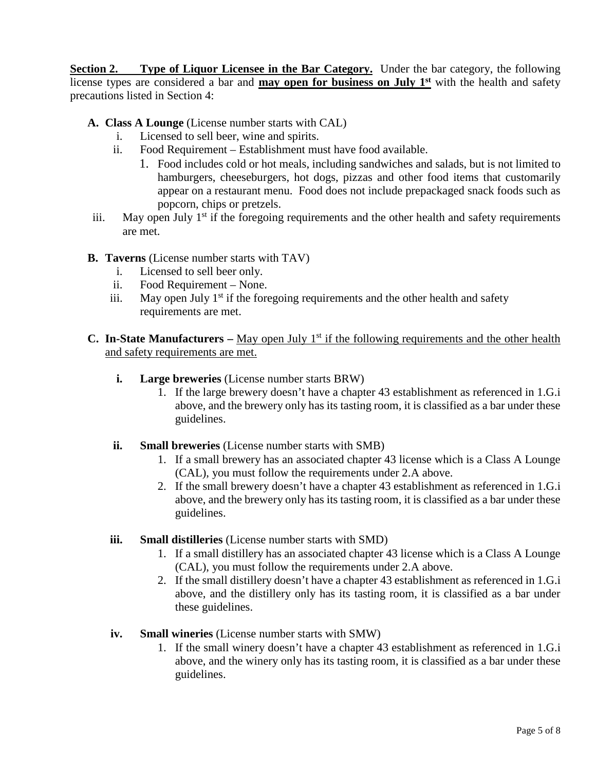**Section 2. Type of Liquor Licensee in the Bar Category.** Under the bar category, the following license types are considered a bar and **may open for business on July 1st** with the health and safety precautions listed in Section 4:

- **A. Class A Lounge** (License number starts with CAL)
	- i. Licensed to sell beer, wine and spirits.
	- ii. Food Requirement Establishment must have food available.
		- 1. Food includes cold or hot meals, including sandwiches and salads, but is not limited to hamburgers, cheeseburgers, hot dogs, pizzas and other food items that customarily appear on a restaurant menu. Food does not include prepackaged snack foods such as popcorn, chips or pretzels.
- iii. May open July  $1<sup>st</sup>$  if the foregoing requirements and the other health and safety requirements are met.
- **B. Taverns** (License number starts with TAV)
	- i. Licensed to sell beer only.
	- ii. Food Requirement None.
	- iii. May open July  $1<sup>st</sup>$  if the foregoing requirements and the other health and safety requirements are met.
- **C.** In-State Manufacturers May open July 1<sup>st</sup> if the following requirements and the other health and safety requirements are met.
	- **i. Large breweries** (License number starts BRW)
		- 1. If the large brewery doesn't have a chapter 43 establishment as referenced in 1.G.i above, and the brewery only has its tasting room, it is classified as a bar under these guidelines.
	- **ii. Small breweries** (License number starts with SMB)
		- 1. If a small brewery has an associated chapter 43 license which is a Class A Lounge (CAL), you must follow the requirements under 2.A above.
		- 2. If the small brewery doesn't have a chapter 43 establishment as referenced in 1.G.i above, and the brewery only has its tasting room, it is classified as a bar under these guidelines.
	- **iii. Small distilleries** (License number starts with SMD)
		- 1. If a small distillery has an associated chapter 43 license which is a Class A Lounge (CAL), you must follow the requirements under 2.A above.
		- 2. If the small distillery doesn't have a chapter 43 establishment as referenced in 1.G.i above, and the distillery only has its tasting room, it is classified as a bar under these guidelines.
	- **iv. Small wineries** (License number starts with SMW)
		- 1. If the small winery doesn't have a chapter 43 establishment as referenced in 1.G.i above, and the winery only has its tasting room, it is classified as a bar under these guidelines.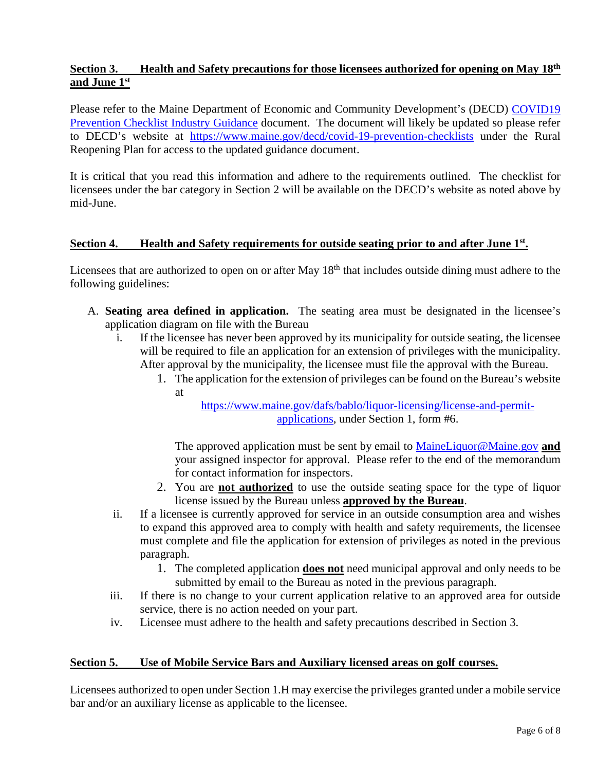# **Section 3. Health and Safety precautions for those licensees authorized for opening on May 18th and June 1st**

Please refer to the Maine Department of Economic and Community Development's (DECD) [COVID19](https://www.maine.gov/decd/sites/maine.gov.decd/files/inline-files/COVID%20Checklist%20for%20ME%20Phase%201%20Restaurants.pdf)  [Prevention Checklist Industry Guidance](https://www.maine.gov/decd/sites/maine.gov.decd/files/inline-files/COVID%20Checklist%20for%20ME%20Phase%201%20Restaurants.pdf) document. The document will likely be updated so please refer to DECD's website at <https://www.maine.gov/decd/covid-19-prevention-checklists> under the Rural Reopening Plan for access to the updated guidance document.

It is critical that you read this information and adhere to the requirements outlined. The checklist for licensees under the bar category in Section 2 will be available on the DECD's website as noted above by mid-June.

### **Section 4. Health and Safety requirements for outside seating prior to and after June 1st.**

Licensees that are authorized to open on or after May 18<sup>th</sup> that includes outside dining must adhere to the following guidelines:

- A. **Seating area defined in application.** The seating area must be designated in the licensee's application diagram on file with the Bureau
	- i. If the licensee has never been approved by its municipality for outside seating, the licensee will be required to file an application for an extension of privileges with the municipality. After approval by the municipality, the licensee must file the approval with the Bureau.
		- 1. The application for the extension of privileges can be found on the Bureau's website at

[https://www.maine.gov/dafs/bablo/liquor-licensing/license-and-permit](https://www.maine.gov/dafs/bablo/liquor-licensing/license-and-permit-applications)[applications,](https://www.maine.gov/dafs/bablo/liquor-licensing/license-and-permit-applications) under Section 1, form #6.

The approved application must be sent by email to [MaineLiquor@Maine.gov](mailto:MaineLiquor@Maine.gov) **and** your assigned inspector for approval. Please refer to the end of the memorandum for contact information for inspectors.

- 2. You are **not authorized** to use the outside seating space for the type of liquor license issued by the Bureau unless **approved by the Bureau**.
- ii. If a licensee is currently approved for service in an outside consumption area and wishes to expand this approved area to comply with health and safety requirements, the licensee must complete and file the application for extension of privileges as noted in the previous paragraph.
	- 1. The completed application **does not** need municipal approval and only needs to be submitted by email to the Bureau as noted in the previous paragraph.
- iii. If there is no change to your current application relative to an approved area for outside service, there is no action needed on your part.
- iv. Licensee must adhere to the health and safety precautions described in Section 3.

#### **Section 5. Use of Mobile Service Bars and Auxiliary licensed areas on golf courses.**

Licensees authorized to open under Section 1.H may exercise the privileges granted under a mobile service bar and/or an auxiliary license as applicable to the licensee.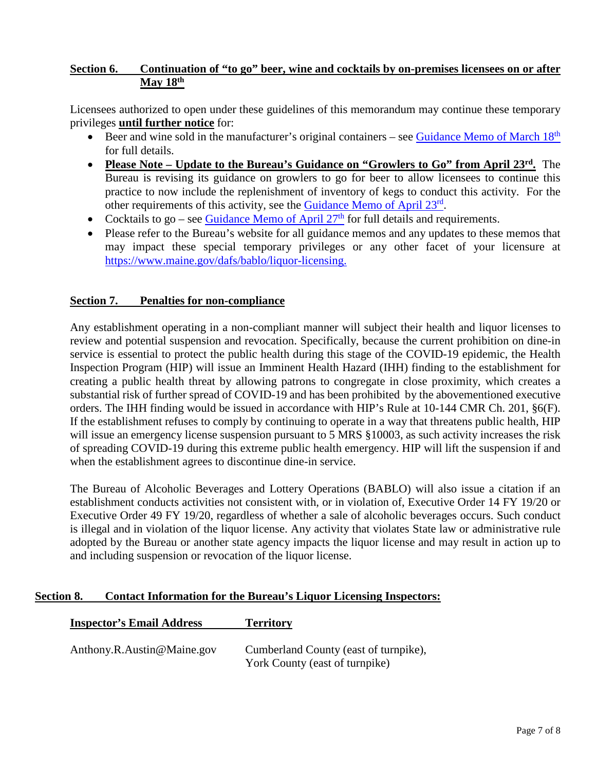# **Section 6. Continuation of "to go" beer, wine and cocktails by on-premises licensees on or after May 18th**

Licensees authorized to open under these guidelines of this memorandum may continue these temporary privileges **until further notice** for:

- Beer and wine sold in the manufacturer's original containers see Guidance Memo of March  $18<sup>th</sup>$ for full details.
- **Please Note – Update to the Bureau's Guidance on "Growlers to Go" from April 23rd.** The Bureau is revising its guidance on growlers to go for beer to allow licensees to continue this practice to now include the replenishment of inventory of kegs to conduct this activity. For the other requirements of this activity, see the [Guidance Memo of April 23](https://www.maine.gov/dafs/bablo/sites/maine.gov.dafs.bablo/files/inline-files/Update%20on%20Governor%20Mills%20March%2018th%20%20EO%20-%20closure%20of%20all%20on%20prem%20-%20on%20prem%20growlers%20to%20go.pdf)rd.
- Cocktails to go see Guidance Memo of April  $27<sup>th</sup>$  for full details and requirements.
- Please refer to the Bureau's website for all guidance memos and any updates to these memos that may impact these special temporary privileges or any other facet of your licensure at [https://www.maine.gov/dafs/bablo/liquor-licensing.](https://www.maine.gov/dafs/bablo/liquor-licensing)

#### **Section 7. Penalties for non-compliance**

Any establishment operating in a non-compliant manner will subject their health and liquor licenses to review and potential suspension and revocation. Specifically, because the current prohibition on dine-in service is essential to protect the public health during this stage of the COVID-19 epidemic, the Health Inspection Program (HIP) will issue an Imminent Health Hazard (IHH) finding to the establishment for creating a public health threat by allowing patrons to congregate in close proximity, which creates a substantial risk of further spread of COVID-19 and has been prohibited by the abovementioned executive orders. The IHH finding would be issued in accordance with HIP's Rule at 10-144 CMR Ch. 201, §6(F). If the establishment refuses to comply by continuing to operate in a way that threatens public health, HIP will issue an emergency license suspension pursuant to 5 MRS §10003, as such activity increases the risk of spreading COVID-19 during this extreme public health emergency. HIP will lift the suspension if and when the establishment agrees to discontinue dine-in service.

The Bureau of Alcoholic Beverages and Lottery Operations (BABLO) will also issue a citation if an establishment conducts activities not consistent with, or in violation of, Executive Order 14 FY 19/20 or Executive Order 49 FY 19/20, regardless of whether a sale of alcoholic beverages occurs. Such conduct is illegal and in violation of the liquor license. Any activity that violates State law or administrative rule adopted by the Bureau or another state agency impacts the liquor license and may result in action up to and including suspension or revocation of the liquor license.

#### **Section 8. Contact Information for the Bureau's Liquor Licensing Inspectors:**

| <b>Inspector's Email Address</b> | <b>Territory</b>                                                        |
|----------------------------------|-------------------------------------------------------------------------|
| Anthony.R.Austin@Maine.gov       | Cumberland County (east of turnpike),<br>York County (east of turnpike) |